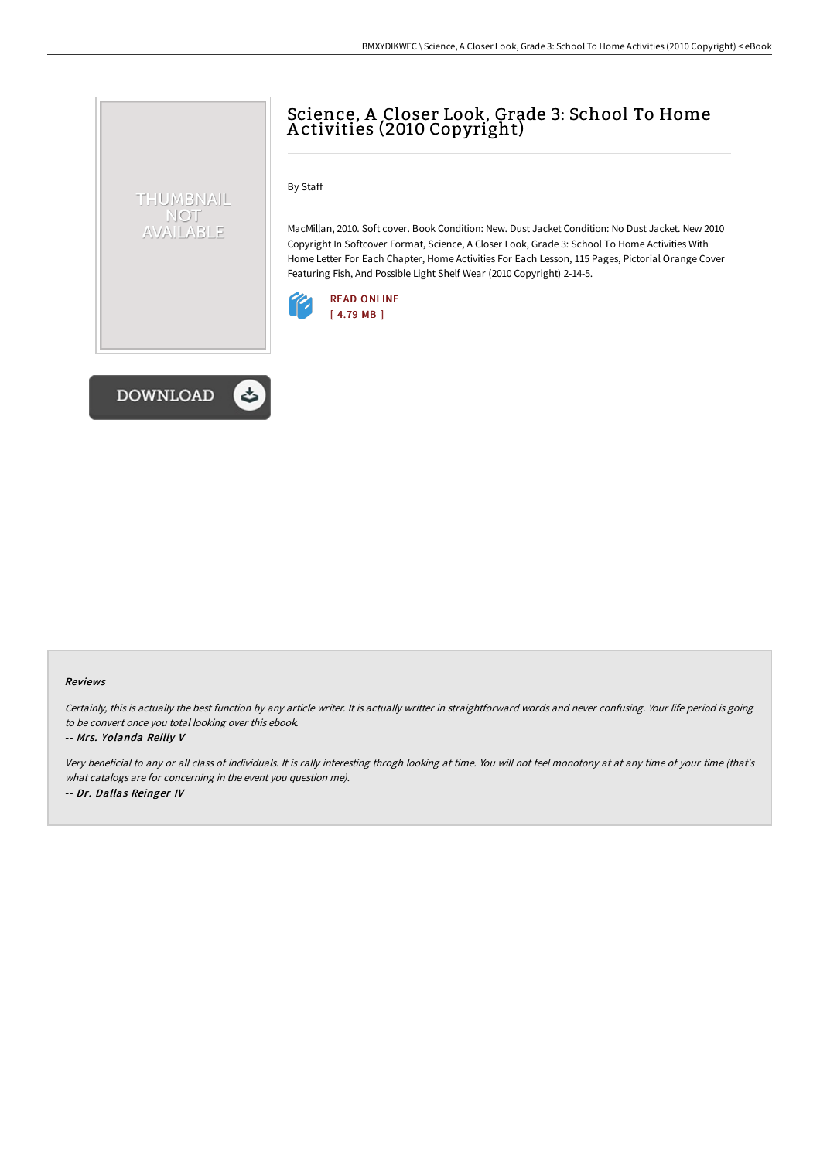## Science, A Closer Look, Grade 3: School To Home A ctivities (2010 Copyright)

By Staff

MacMillan, 2010. Soft cover. Book Condition: New. Dust Jacket Condition: No Dust Jacket. New 2010 Copyright In Softcover Format, Science, A Closer Look, Grade 3: School To Home Activities With Home Letter For Each Chapter, Home Activities For Each Lesson, 115 Pages, Pictorial Orange Cover Featuring Fish, And Possible Light Shelf Wear (2010 Copyright) 2-14-5.





THUMBNAIL NOT AVAILABLE

## Reviews

Certainly, this is actually the best function by any article writer. It is actually writter in straightforward words and never confusing. Your life period is going to be convert once you total looking over this ebook.

## -- Mrs. Yolanda Reilly V

Very beneficial to any or all class of individuals. It is rally interesting throgh looking at time. You will not feel monotony at at any time of your time (that's what catalogs are for concerning in the event you question me). -- Dr. Dallas Reinger IV